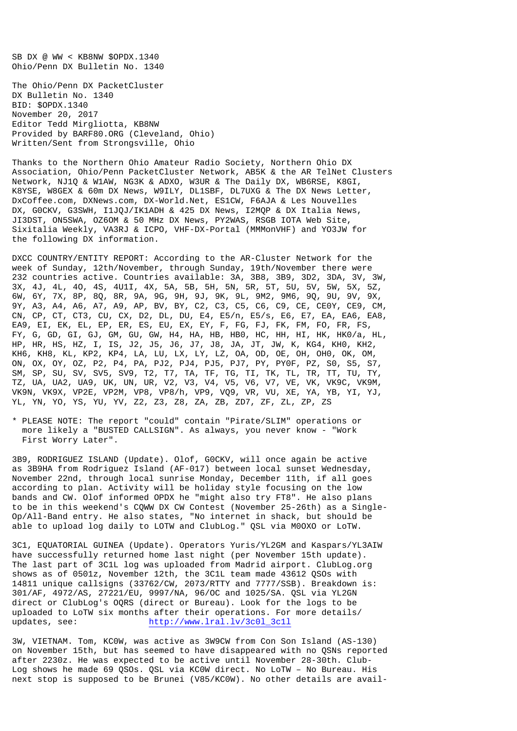SB DX @ WW < KB8NW \$OPDX.1340 Ohio/Penn DX Bulletin No. 1340

The Ohio/Penn DX PacketCluster DX Bulletin No. 1340 BID: \$OPDX.1340 November 20, 2017 Editor Tedd Mirgliotta, KB8NW Provided by BARF80.ORG (Cleveland, Ohio) Written/Sent from Strongsville, Ohio

Thanks to the Northern Ohio Amateur Radio Society, Northern Ohio DX Association, Ohio/Penn PacketCluster Network, AB5K & the AR TelNet Clusters Network, NJ1Q & W1AW, NG3K & ADXO, W3UR & The Daily DX, WB6RSE, K8GI, K8YSE, W8GEX & 60m DX News, W9ILY, DL1SBF, DL7UXG & The DX News Letter, DxCoffee.com, DXNews.com, DX-World.Net, ES1CW, F6AJA & Les Nouvelles DX, G0CKV, G3SWH, I1JQJ/IK1ADH & 425 DX News, I2MQP & DX Italia News, JI3DST, ON5SWA, OZ6OM & 50 MHz DX News, PY2WAS, RSGB IOTA Web Site, Sixitalia Weekly, VA3RJ & ICPO, VHF-DX-Portal (MMMonVHF) and YO3JW for the following DX information.

DXCC COUNTRY/ENTITY REPORT: According to the AR-Cluster Network for the week of Sunday, 12th/November, through Sunday, 19th/November there were 232 countries active. Countries available: 3A, 3B8, 3B9, 3D2, 3DA, 3V, 3W, 3X, 4J, 4L, 4O, 4S, 4U1I, 4X, 5A, 5B, 5H, 5N, 5R, 5T, 5U, 5V, 5W, 5X, 5Z, 6W, 6Y, 7X, 8P, 8Q, 8R, 9A, 9G, 9H, 9J, 9K, 9L, 9M2, 9M6, 9Q, 9U, 9V, 9X, 9Y, A3, A4, A6, A7, A9, AP, BV, BY, C2, C3, C5, C6, C9, CE, CE0Y, CE9, CM, CN, CP, CT, CT3, CU, CX, D2, DL, DU, E4, E5/n, E5/s, E6, E7, EA, EA6, EA8, EA9, EI, EK, EL, EP, ER, ES, EU, EX, EY, F, FG, FJ, FK, FM, FO, FR, FS, FY, G, GD, GI, GJ, GM, GU, GW, H4, HA, HB, HB0, HC, HH, HI, HK, HK0/a, HL, HP, HR, HS, HZ, I, IS, J2, J5, J6, J7, J8, JA, JT, JW, K, KG4, KH0, KH2, KH6, KH8, KL, KP2, KP4, LA, LU, LX, LY, LZ, OA, OD, OE, OH, OH0, OK, OM, ON, OX, OY, OZ, P2, P4, PA, PJ2, PJ4, PJ5, PJ7, PY, PY0F, PZ, S0, S5, S7, SM, SP, SU, SV, SV5, SV9, T2, T7, TA, TF, TG, TI, TK, TL, TR, TT, TU, TY, TZ, UA, UA2, UA9, UK, UN, UR, V2, V3, V4, V5, V6, V7, VE, VK, VK9C, VK9M, VK9N, VK9X, VP2E, VP2M, VP8, VP8/h, VP9, VQ9, VR, VU, XE, YA, YB, YI, YJ, YL, YN, YO, YS, YU, YV, Z2, Z3, Z8, ZA, ZB, ZD7, ZF, ZL, ZP, ZS

\* PLEASE NOTE: The report "could" contain "Pirate/SLIM" operations or more likely a "BUSTED CALLSIGN". As always, you never know - "Work First Worry Later".

3B9, RODRIGUEZ ISLAND (Update). Olof, G0CKV, will once again be active as 3B9HA from Rodriguez Island (AF-017) between local sunset Wednesday, November 22nd, through local sunrise Monday, December 11th, if all goes according to plan. Activity will be holiday style focusing on the low bands and CW. Olof informed OPDX he "might also try FT8". He also plans to be in this weekend's CQWW DX CW Contest (November 25-26th) as a Single-Op/All-Band entry. He also states, "No internet in shack, but should be able to upload log daily to LOTW and ClubLog." QSL via M0OXO or LoTW.

3C1, EQUATORIAL GUINEA (Update). Operators Yuris/YL2GM and Kaspars/YL3AIW have successfully returned home last night (per November 15th update). The last part of 3C1L log was uploaded from Madrid airport. ClubLog.org shows as of 0501z, November 12th, the 3C1L team made 43612 QSOs with 14811 unique callsigns (33762/CW, 2073/RTTY and 7777/SSB). Breakdown is: 301/AF, 4972/AS, 27221/EU, 9997/NA, 96/OC and 1025/SA. QSL via YL2GN direct or ClubLog's OQRS (direct or Bureau). Look for the logs to be uploaded to LoTW six months after their operations. For more details/ updates, see: http://www.lral.lv/3c01\_3c11

3W, VIETNAM. Tom, KC0W, was active as 3W9CW from Con Son Island (AS-130) on November 15th, but has seemed to have disappeared with no QSNs reported after 2230z. He was expected to be active until November 28-30th. Club-Log shows he made 69 QSOs. QSL via KC0W direct. No LoTW – No Bureau. His next stop is supposed to be Brunei (V85/KC0W). No other details are avail-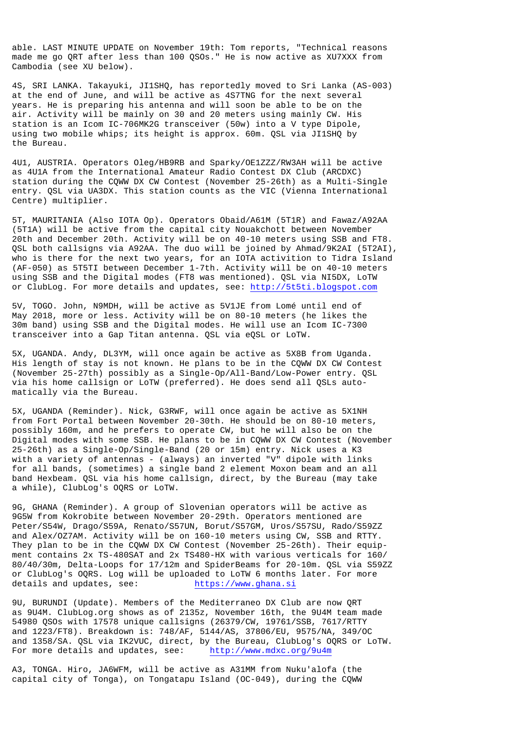able. LAST MINUTE UPDATE on November 19th: Tom reports, "Technical reasons made me go QRT after less than 100 QSOs." He is now active as XU7XXX from Cambodia (see XU below).

4S, SRI LANKA. Takayuki, JI1SHQ, has reportedly moved to Sri Lanka (AS-003) at the end of June, and will be active as 4S7TNG for the next several years. He is preparing his antenna and will soon be able to be on the air. Activity will be mainly on 30 and 20 meters using mainly CW. His station is an Icom IC-706MK2G transceiver (50w) into a V type Dipole, using two mobile whips; its height is approx. 60m. QSL via JI1SHQ by the Bureau.

4U1, AUSTRIA. Operators Oleg/HB9RB and Sparky/OE1ZZZ/RW3AH will be active as 4U1A from the International Amateur Radio Contest DX Club (ARCDXC) station during the CQWW DX CW Contest (November 25-26th) as a Multi-Single entry. QSL via UA3DX. This station counts as the VIC (Vienna International Centre) multiplier.

5T, MAURITANIA (Also IOTA Op). Operators Obaid/A61M (5T1R) and Fawaz/A92AA (5T1A) will be active from the capital city Nouakchott between November 20th and December 20th. Activity will be on 40-10 meters using SSB and FT8. QSL both callsigns via A92AA. The duo will be joined by Ahmad/9K2AI (5T2AI), who is there for the next two years, for an IOTA activition to Tidra Island (AF-050) as 5T5TI between December 1-7th. Activity will be on 40-10 meters using SSB and the Digital modes (FT8 was mentioned). QSL via NI5DX, LoTW or ClubLog. For more details and updates, see: http://5t5ti.blogspot.com

5V, TOGO. John, N9MDH, will be active as 5V1JE from Lomé until end of May 2018, more or less. Activity will be on 80-10 meters (he likes the 30m band) using SSB and the Digital modes. He will use an Icom IC-7300 transceiver into a Gap Titan antenna. QSL via eQSL or LoTW.

5X, UGANDA. Andy, DL3YM, will once again be active as 5X8B from Uganda. His length of stay is not known. He plans to be in the CQWW DX CW Contest (November 25-27th) possibly as a Single-Op/All-Band/Low-Power entry. QSL via his home callsign or LoTW (preferred). He does send all QSLs automatically via the Bureau.

5X, UGANDA (Reminder). Nick, G3RWF, will once again be active as 5X1NH from Fort Portal between November 20-30th. He should be on 80-10 meters, possibly 160m, and he prefers to operate CW, but he will also be on the Digital modes with some SSB. He plans to be in CQWW DX CW Contest (November 25-26th) as a Single-Op/Single-Band (20 or 15m) entry. Nick uses a K3 with a variety of antennas - (always) an inverted "V" dipole with links for all bands, (sometimes) a single band 2 element Moxon beam and an all band Hexbeam. QSL via his home callsign, direct, by the Bureau (may take a while), ClubLog's OQRS or LoTW.

9G, GHANA (Reminder). A group of Slovenian operators will be active as 9G5W from Kokrobite between November 20-29th. Operators mentioned are Peter/S54W, Drago/S59A, Renato/S57UN, Borut/S57GM, Uros/S57SU, Rado/S59ZZ and Alex/OZ7AM. Activity will be on 160-10 meters using CW, SSB and RTTY. They plan to be in the CQWW DX CW Contest (November 25-26th). Their equipment contains 2x TS-480SAT and 2x TS480-HX with various verticals for 160/ 80/40/30m, Delta-Loops for 17/12m and SpiderBeams for 20-10m. QSL via S59ZZ or ClubLog's OQRS. Log will be uploaded to LoTW 6 months later. For more details and updates, see: https://www.ghana.si

9U, BURUNDI (Update). Members of the Mediterraneo DX Club are now QRT as 9U4M. ClubLog.org shows as of 2135z, November 16th, the 9U4M team made 54980 QSOs with 17578 unique callsigns (26379/CW, 19761/SSB, 7617/RTTY and 1223/FT8). Breakdown is: 748/AF, 5144/AS, 37806/EU, 9575/NA, 349/OC and 1358/SA. QSL via IK2VUC, direct, by the Bureau, ClubLog's OQRS or LoTW. For more details and updates, see: http://www.mdxc.org/9u4m

A3, TONGA. Hiro, JA6WFM, will be active as A31MM from Nuku'alofa (the capital city of Tonga), on Tongatapu Island (OC-049), during the CQWW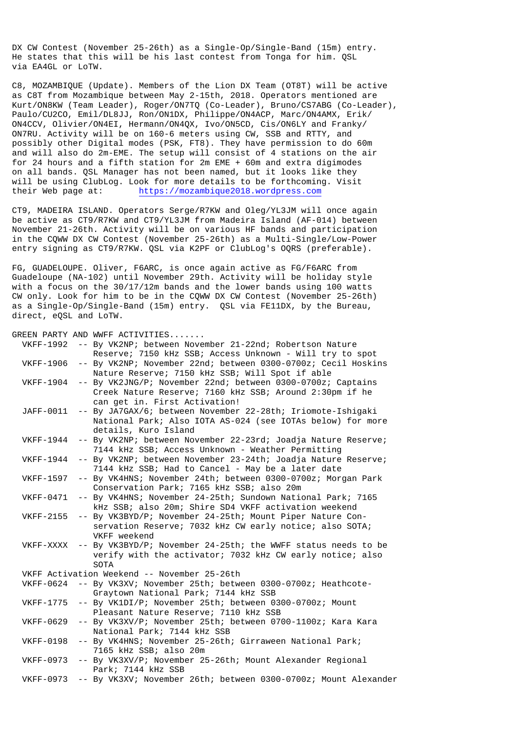DX CW Contest (November 25-26th) as a Single-Op/Single-Band (15m) entry. He states that this will be his last contest from Tonga for him. QSL via EA4GL or LoTW.

C8, MOZAMBIQUE (Update). Members of the Lion DX Team (OT8T) will be active as C8T from Mozambique between May 2-15th, 2018. Operators mentioned are Kurt/ON8KW (Team Leader), Roger/ON7TQ (Co-Leader), Bruno/CS7ABG (Co-Leader), Paulo/CU2CO, Emil/DL8JJ, Ron/ON1DX, Philippe/ON4ACP, Marc/ON4AMX, Erik/ ON4CCV, Olivier/ON4EI, Hermann/ON4QX, Ivo/ON5CD, Cis/ON6LY and Franky/ ON7RU. Activity will be on 160-6 meters using CW, SSB and RTTY, and possibly other Digital modes (PSK, FT8). They have permission to do 60m and will also do 2m-EME. The setup will consist of 4 stations on the air for 24 hours and a fifth station for 2m EME + 60m and extra digimodes on all bands. QSL Manager has not been named, but it looks like they will be using ClubLog. Look for more details to be forthcoming. Visit their Web page at: https://mozambique2018.wordpress.com

CT9, MADEIRA ISLAND. Operators Serge/R7KW and Oleg/YL3JM will once again be active as CT9/R7KW and CT9/YL3JM from Madeira Island (AF-014) between November 21-26th. Activity will be on various HF bands and participation in the CQWW DX CW Contest (November 25-26th) as a Multi-Single/Low-Power entry signing as CT9/R7KW. QSL via K2PF or ClubLog's OQRS (preferable).

FG, GUADELOUPE. Oliver, F6ARC, is once again active as FG/F6ARC from Guadeloupe (NA-102) until November 29th. Activity will be holiday style with a focus on the 30/17/12m bands and the lower bands using 100 watts CW only. Look for him to be in the CQWW DX CW Contest (November 25-26th) as a Single-Op/Single-Band (15m) entry. QSL via FE11DX, by the Bureau, direct, eQSL and LoTW.

GREEN PARTY AND WWFF ACTIVITIES.......

|                  | VKFF-1992 -- By VK2NP; between November 21-22nd; Robertson Nature       |
|------------------|-------------------------------------------------------------------------|
|                  | Reserve; 7150 kHz SSB; Access Unknown - Will try to spot                |
| VKFF-1906        | -- By VK2NP; November 22nd; between 0300-0700z; Cecil Hoskins           |
|                  | Nature Reserve; 7150 kHz SSB; Will Spot if able                         |
| VKFF-1904        | -- By VK2JNG/P; November 22nd; between 0300-0700z; Captains             |
|                  | Creek Nature Reserve; 7160 kHz SSB; Around 2:30pm if he                 |
|                  | can get in. First Activation!                                           |
| <b>JAFF-0011</b> | -- By JA7GAX/6; between November 22-28th; Iriomote-Ishigaki             |
|                  | National Park; Also IOTA AS-024 (see IOTAs below) for more              |
|                  | details, Kuro Island                                                    |
| VKFF-1944        | -- By VK2NP; between November 22-23rd; Joadja Nature Reserve;           |
|                  | 7144 kHz SSB; Access Unknown - Weather Permitting                       |
| VKFF-1944        | -- By VK2NP; between November 23-24th; Joadja Nature Reserve;           |
|                  | 7144 kHz SSB; Had to Cancel - May be a later date                       |
| VKFF-1597        | -- By VK4HNS; November 24th; between 0300-0700z; Morgan Park            |
|                  | Conservation Park; 7165 kHz SSB; also 20m                               |
| VKFF-0471        | -- By VK4HNS; November 24-25th; Sundown National Park; 7165             |
|                  | kHz SSB; also 20m; Shire SD4 VKFF activation weekend                    |
| <b>VKFF-2155</b> |                                                                         |
|                  | -- By VK3BYD/P; November 24-25th; Mount Piper Nature Con-               |
|                  | servation Reserve; 7032 kHz CW early notice; also SOTA;<br>VKFF weekend |
|                  |                                                                         |
| VKFF-XXXX        | -- By VK3BYD/P; November 24-25th; the WWFF status needs to be           |
|                  | verify with the activator; 7032 kHz CW early notice; also               |
|                  | SOTA                                                                    |
|                  | VKFF Activation Weekend -- November 25-26th                             |
|                  | VKFF-0624 -- By VK3XV; November 25th; between 0300-0700z; Heathcote-    |
|                  | Graytown National Park; 7144 kHz SSB                                    |
| VKFF-1775        | -- By VK1DI/P; November 25th; between 0300-0700z; Mount                 |
|                  | Pleasant Nature Reserve; 7110 kHz SSB                                   |
| VKFF-0629        | -- By VK3XV/P; November 25th; between 0700-1100z; Kara Kara             |
|                  | National Park; 7144 kHz SSB                                             |
| VKFF-0198        | -- By VK4HNS; November 25-26th; Girraween National Park;                |
|                  | 7165 kHz SSB; also 20m                                                  |
| VKFF-0973        | -- By VK3XV/P; November 25-26th; Mount Alexander Regional               |
|                  | Park; 7144 kHz SSB                                                      |
| VKFF-0973        | -- By VK3XV; November 26th; between 0300-0700z; Mount Alexander         |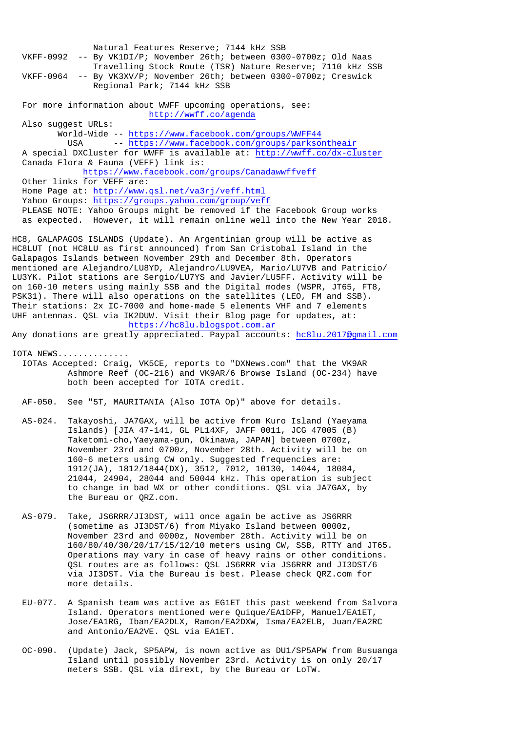Natural Features Reserve; 7144 kHz SSB VKFF-0992 -- By VK1DI/P; November 26th; between 0300-0700z; Old Naas Travelling Stock Route (TSR) Nature Reserve; 7110 kHz SSB VKFF-0964 -- By VK3XV/P; November 26th; between 0300-0700z; Creswick Regional Park; 7144 kHz SSB For more information about WWFF upcoming operations, see: http://wwff.co/agenda Also suggest URLs: World-Wide -- https://www.facebook.com/groups/WWFF44 USA -- https://www.facebook.com/groups/parksontheair A special DXCluster for WWFF is available at: http://wwff.co/dx-cluster Canada Flora & Fauna (VEFF) link is: https://www.facebook.com/groups/Canadawwffveff Other links for VEFF are: Home Page at: http://www.qsl.net/va3rj/veff.html Yahoo Groups: https://groups.yahoo.com/group/veff PLEASE NOTE: Yahoo Groups might be removed if the Facebook Group works as expected. However, it will remain online well into the New Year 2018. HC8, GALAPAGOS ISLANDS (Update). An Argentinian group will be active as HC8LUT (not HC8LU as first announced) from San Cristobal Island in the Galapagos Islands between November 29th and December 8th. Operators mentioned are Alejandro/LU8YD, Alejandro/LU9VEA, Mario/LU7VB and Patricio/ LU3YK. Pilot stations are Sergio/LU7YS and Javier/LU5FF. Activity will be on 160-10 meters using mainly SSB and the Digital modes (WSPR, JT65, FT8, PSK31). There will also operations on the satellites (LEO, FM and SSB). Their stations: 2x IC-7000 and home-made 5 elements VHF and 7 elements UHF antennas. QSL via IK2DUW. Visit their Blog page for updates, at: https://hc8lu.blogspot.com.ar Any donations are greatly appreciated. Paypal accounts: hc8lu.2017@gmail.com IOTA NEWS.............. IOTAs Accepted: Craig, VK5CE, reports to "DXNews.com" that the VK9AR Ashmore Reef (OC-216) and VK9AR/6 Browse Island (OC-234) have both been accepted for IOTA credit. AF-050. See "5T, MAURITANIA (Also IOTA Op)" above for details. AS-024. Takayoshi, JA7GAX, will be active from Kuro Island (Yaeyama Islands) [JIA 47-141, GL PL14XF, JAFF 0011, JCG 47005 (B) Taketomi-cho,Yaeyama-gun, Okinawa, JAPAN] between 0700z, November 23rd and 0700z, November 28th. Activity will be on 160-6 meters using CW only. Suggested frequencies are: 1912(JA), 1812/1844(DX), 3512, 7012, 10130, 14044, 18084, 21044, 24904, 28044 and 50044 kHz. This operation is subject to change in bad WX or other conditions. QSL via JA7GAX, by the Bureau or QRZ.com. AS-079. Take, JS6RRR/JI3DST, will once again be active as JS6RRR (sometime as JI3DST/6) from Miyako Island between 0000z, November 23rd and 0000z, November 28th. Activity will be on 160/80/40/30/20/17/15/12/10 meters using CW, SSB, RTTY and JT65. Operations may vary in case of heavy rains or other conditions. QSL routes are as follows: QSL JS6RRR via JS6RRR and JI3DST/6 via JI3DST. Via the Bureau is best. Please check QRZ.com for more details. EU-077. A Spanish team was active as EG1ET this past weekend from Salvora Island. Operators mentioned were Quique/EA1DFP, Manuel/EA1ET, Jose/EA1RG, Iban/EA2DLX, Ramon/EA2DXW, Isma/EA2ELB, Juan/EA2RC

 OC-090. (Update) Jack, SP5APW, is nown active as DU1/SP5APW from Busuanga Island until possibly November 23rd. Activity is on only 20/17 meters SSB. QSL via dirext, by the Bureau or LoTW.

and Antonio/EA2VE. QSL via EA1ET.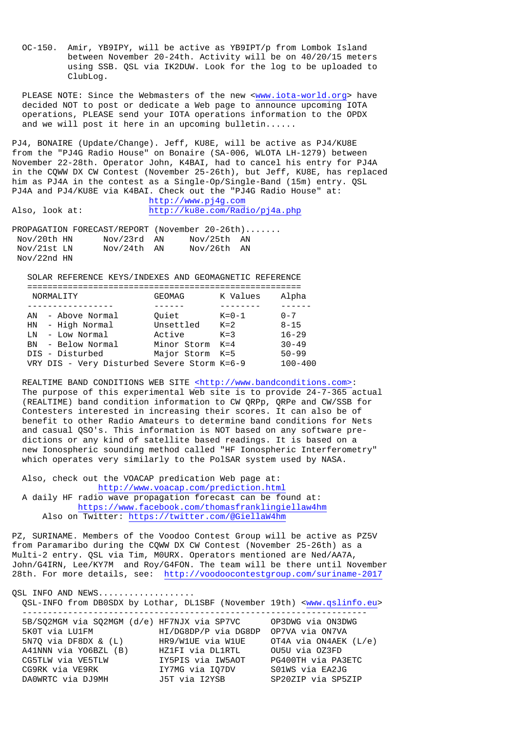OC-150. Amir, YB9IPY, will be active as YB9IPT/p from Lombok Island between November 20-24th. Activity will be on 40/20/15 meters using SSB. QSL via IK2DUW. Look for the log to be uploaded to ClubLog.

PLEASE NOTE: Since the Webmasters of the new <www.iota-world.org> have decided NOT to post or dedicate a Web page to announce upcoming IOTA operations, PLEASE send your IOTA operations information to the OPDX and we will post it here in an upcoming bulletin......

PJ4, BONAIRE (Update/Change). Jeff, KU8E, will be active as PJ4/KU8E from the "PJ4G Radio House" on Bonaire (SA-006, WLOTA LH-1279) between November 22-28th. Operator John, K4BAI, had to cancel his entry for PJ4A in the CQWW DX CW Contest (November 25-26th), but Jeff, KU8E, has replaced him as PJ4A in the contest as a Single-Op/Single-Band (15m) entry. QSL PJ4A and PJ4/KU8E via K4BAI. Check out the "PJ4G Radio House" at:

http://www.pj4g.com<br>Also, look at: http://ku8e.com/Rad. http://ku8e.com/Radio/pj4a.php

PROPAGATION FORECAST/REPORT (November 20-26th)....... Nov/20th HN Nov/23rd AN Nov/25th AN Nov/21st LN Nov/24th AN Nov/26th AN Nov/22nd HN

SOLAR REFERENCE KEYS/INDEXES AND GEOMAGNETIC REFERENCE

| NORMALITY                                   | GEOMAG      | K Values    | Alpha       |  |  |  |  |
|---------------------------------------------|-------------|-------------|-------------|--|--|--|--|
|                                             |             |             |             |  |  |  |  |
| - Above Normal<br>ΑN                        | Ouiet       | $K = 0 - 1$ | $0 - 7$     |  |  |  |  |
| - High Normal<br>HN                         | Unsettled   | $K = 2$     | $8 - 15$    |  |  |  |  |
| - Low Normal<br>T.N                         | Active      | $K = 3$     | $16 - 29$   |  |  |  |  |
| BN - Below Normal                           | Minor Storm | $K = 4$     | $30 - 49$   |  |  |  |  |
| DIS - Disturbed                             | Major Storm | $K = 5$     | $50 - 99$   |  |  |  |  |
| VRY DIS - Very Disturbed Severe Storm K=6-9 |             |             | $100 - 400$ |  |  |  |  |

REALTIME BAND CONDITIONS WEB SITE <http://www.bandconditions.com>: The purpose of this experimental Web site is to provide 24-7-365 actual (REALTIME) band condition information to CW QRPp, QRPe and CW/SSB for Contesters interested in increasing their scores. It can also be of benefit to other Radio Amateurs to determine band conditions for Nets and casual QSO's. This information is NOT based on any software pre dictions or any kind of satellite based readings. It is based on a new Ionospheric sounding method called "HF Ionospheric Interferometry" which operates very similarly to the PolSAR system used by NASA.

 Also, check out the VOACAP predication Web page at: http://www.voacap.com/prediction.html A daily HF radio wave propagation forecast can be found at: https://www.facebook.com/thomasfranklingiellaw4hm Also on Twitter: https://twitter.com/@GiellaW4hm

PZ, SURINAME. Members of the Voodoo Contest Group will be active as PZ5V from Paramaribo during the CQWW DX CW Contest (November 25-26th) as a Multi-2 entry. QSL via Tim, M0URX. Operators mentioned are Ned/AA7A, John/G4IRN, Lee/KY7M and Roy/G4FON. The team will be there until November 28th. For more details, see: http://voodoocontestgroup.com/suriname-2017

OSL INFO AND NEWS..................

QSL-INFO from DB0SDX by Lothar, DL1SBF (November 19th) <www.qslinfo.eu>

| 5B/SQ2MGM via SQ2MGM (d/e) HF7NJX via SP7VC |                      | OP3DWG via ON3DWG           |
|---------------------------------------------|----------------------|-----------------------------|
| 5K0T via LU1FM                              | HI/DG8DP/P via DG8DP | OP7VA via ON7VA             |
| $5N70$ via DF8DX & $(L)$                    | HR9/W1UE via W1UE    | OT4A via $ON4AEK$ ( $L/e$ ) |
| A41NNN via YO6BZL (B)                       | HZ1FI via DL1RTL     | OU5U via OZ3FD              |
| CG5TLW via VE5TLW                           | IY5PIS via IW5AOT    | PG400TH via PA3ETC          |
| CG9RK via VE9RK                             | IY7MG via IO7DV      | SO1WS via EA2JG             |
| DA0WRTC via DJ9MH                           | J5T via I2YSB        | SP20ZIP via SP5ZIP          |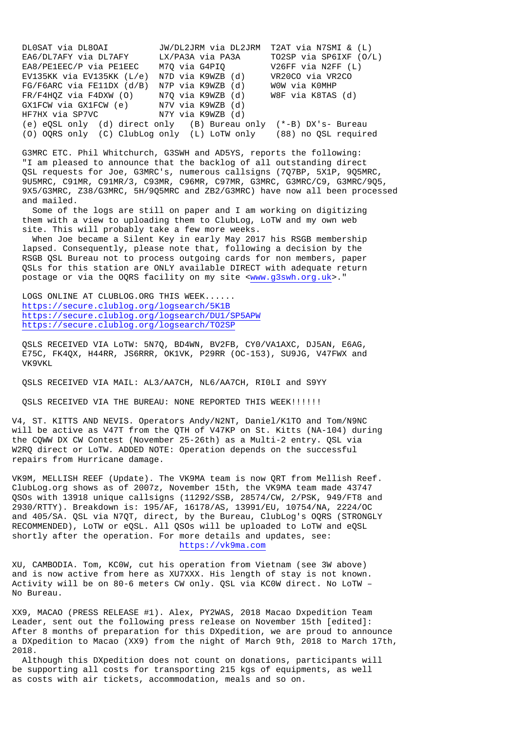| DLOSAT via DL8OAI                                                | JW/DL2JRM via DL2JRM T2AT via N7SMI & (L) |                        |
|------------------------------------------------------------------|-------------------------------------------|------------------------|
| EA6/DL7AFY via DL7AFY                                            | LX/PA3A via PA3A                          | TO2SP via SP6IXF (O/L) |
| EA8/PE1EEC/P via PE1EEC                                          | M70 via G4PIO                             | V26FF via N2FF (L)     |
| EV135KK via EV135KK $(L/e)$                                      | N7D via K9WZB (d)                         | VR20CO via VR2CO       |
| $FG/F6ARC$ via $FE11DX (d/B)$                                    | N7P via K9WZB (d)                         | WOW via KOMHP          |
| $FR/F4HOZ$ via $F4DXW$ (O)                                       | N7Q via K9WZB (d)                         | W8F via K8TAS (d)      |
| GX1FCW via GX1FCW (e) N7V via K9WZB (d)                          |                                           |                        |
| HF7HX via SP7VC                                                  | N7Y via K9WZB (d)                         |                        |
| (e) eQSL only (d) direct only (B) Bureau only (*-B) DX's- Bureau |                                           |                        |
| (O) OORS only (C) ClubLog only (L) LoTW only                     |                                           | (88) no OSL required   |

 G3MRC ETC. Phil Whitchurch, G3SWH and AD5YS, reports the following: "I am pleased to announce that the backlog of all outstanding direct QSL requests for Joe, G3MRC's, numerous callsigns (7Q7BP, 5X1P, 9Q5MRC, 9U5MRC, C91MR, C91MR/3, C93MR, C96MR, C97MR, G3MRC, G3MRC/C9, G3MRC/9Q5, 9X5/G3MRC, Z38/G3MRC, 5H/9Q5MRC and ZB2/G3MRC) have now all been processed and mailed.

 Some of the logs are still on paper and I am working on digitizing them with a view to uploading them to ClubLog, LoTW and my own web site. This will probably take a few more weeks.

 When Joe became a Silent Key in early May 2017 his RSGB membership lapsed. Consequently, please note that, following a decision by the RSGB QSL Bureau not to process outgoing cards for non members, paper QSLs for this station are ONLY available DIRECT with adequate return postage or via the OQRS facility on my site <www.g3swh.org.uk>."

 LOGS ONLINE AT CLUBLOG.ORG THIS WEEK...... https://secure.clublog.org/logsearch/5K1B https://secure.clublog.org/logsearch/DU1/SP5APW https://secure.clublog.org/logsearch/TO2SP

 QSLS RECEIVED VIA LoTW: 5N7Q, BD4WN, BV2FB, CY0/VA1AXC, DJ5AN, E6AG, E75C, FK4QX, H44RR, JS6RRR, OK1VK, P29RR (OC-153), SU9JG, V47FWX and VK9VKL

QSLS RECEIVED VIA MAIL: AL3/AA7CH, NL6/AA7CH, RI0LI and S9YY

QSLS RECEIVED VIA THE BUREAU: NONE REPORTED THIS WEEK!!!!!!

V4, ST. KITTS AND NEVIS. Operators Andy/N2NT, Daniel/K1TO and Tom/N9NC will be active as V47T from the QTH of V47KP on St. Kitts (NA-104) during the CQWW DX CW Contest (November 25-26th) as a Multi-2 entry. QSL via W2RQ direct or LoTW. ADDED NOTE: Operation depends on the successful repairs from Hurricane damage.

VK9M, MELLISH REEF (Update). The VK9MA team is now QRT from Mellish Reef. ClubLog.org shows as of 2007z, November 15th, the VK9MA team made 43747 QSOs with 13918 unique callsigns (11292/SSB, 28574/CW, 2/PSK, 949/FT8 and 2930/RTTY). Breakdown is: 195/AF, 16178/AS, 13991/EU, 10754/NA, 2224/OC and 405/SA. QSL via N7QT, direct, by the Bureau, ClubLog's OQRS (STRONGLY RECOMMENDED), LoTW or eQSL. All QSOs will be uploaded to LoTW and eQSL shortly after the operation. For more details and updates, see: https://vk9ma.com

XU, CAMBODIA. Tom, KC0W, cut his operation from Vietnam (see 3W above) and is now active from here as XU7XXX. His length of stay is not known. Activity will be on 80-6 meters CW only. QSL via KC0W direct. No LoTW – No Bureau.

XX9, MACAO (PRESS RELEASE #1). Alex, PY2WAS, 2018 Macao Dxpedition Team Leader, sent out the following press release on November 15th [edited]: After 8 months of preparation for this DXpedition, we are proud to announce a DXpedition to Macao (XX9) from the night of March 9th, 2018 to March 17th, 2018.

 Although this DXpedition does not count on donations, participants will be supporting all costs for transporting 215 kgs of equipments, as well as costs with air tickets, accommodation, meals and so on.